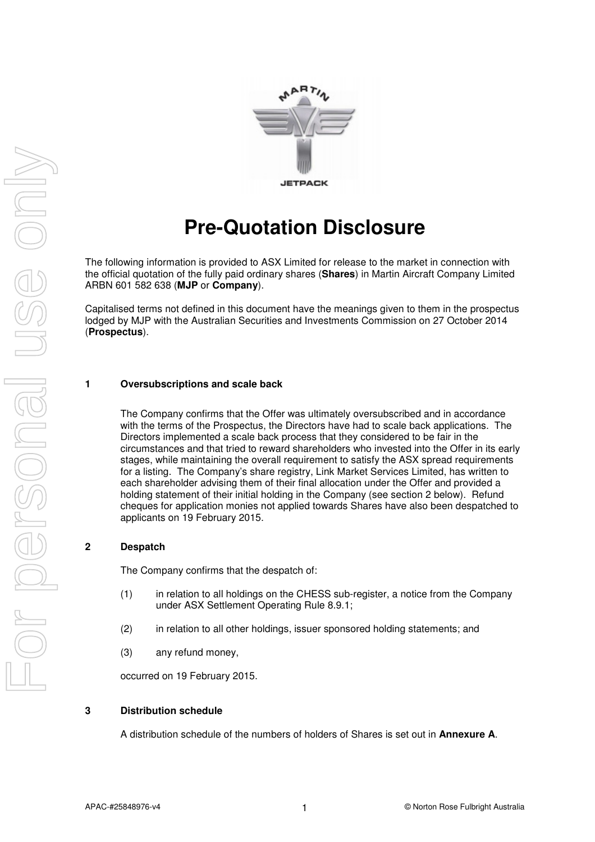

# **Pre-Quotation Disclosure**

The following information is provided to ASX Limited for release to the market in connection with the official quotation of the fully paid ordinary shares (**Shares**) in Martin Aircraft Company Limited ARBN 601 582 638 (**MJP** or **Company**).

Capitalised terms not defined in this document have the meanings given to them in the prospectus lodged by MJP with the Australian Securities and Investments Commission on 27 October 2014 (**Prospectus**).

#### **1 Oversubscriptions and scale back**

The Company confirms that the Offer was ultimately oversubscribed and in accordance with the terms of the Prospectus, the Directors have had to scale back applications. The Directors implemented a scale back process that they considered to be fair in the circumstances and that tried to reward shareholders who invested into the Offer in its early stages, while maintaining the overall requirement to satisfy the ASX spread requirements for a listing. The Company's share registry, Link Market Services Limited, has written to each shareholder advising them of their final allocation under the Offer and provided a holding statement of their initial holding in the Company (see section 2 below). Refund cheques for application monies not applied towards Shares have also been despatched to applicants on 19 February 2015.

#### **2 Despatch**

The Company confirms that the despatch of:

- (1) in relation to all holdings on the CHESS sub-register, a notice from the Company under ASX Settlement Operating Rule 8.9.1;
- (2) in relation to all other holdings, issuer sponsored holding statements; and
- (3) any refund money,

occurred on 19 February 2015.

#### **3 Distribution schedule**

A distribution schedule of the numbers of holders of Shares is set out in **Annexure A**.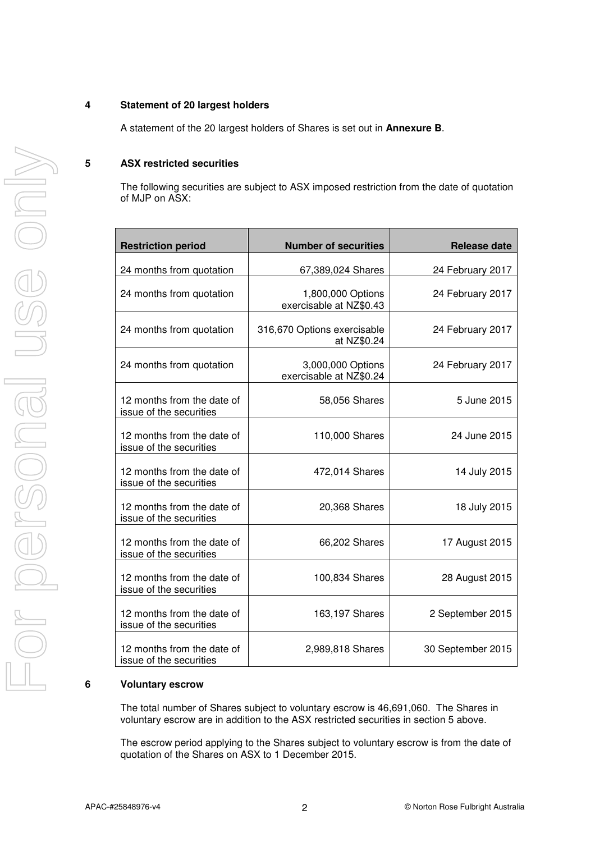#### **4 Statement of 20 largest holders**

A statement of the 20 largest holders of Shares is set out in **Annexure B**.

#### **5 ASX restricted securities**

The following securities are subject to ASX imposed restriction from the date of quotation of MJP on ASX:

| <b>Restriction period</b>                             | <b>Number of securities</b>                  | <b>Release date</b> |
|-------------------------------------------------------|----------------------------------------------|---------------------|
| 24 months from quotation                              | 67,389,024 Shares                            | 24 February 2017    |
| 24 months from quotation                              | 1,800,000 Options<br>exercisable at NZ\$0.43 | 24 February 2017    |
| 24 months from quotation                              | 316,670 Options exercisable<br>at NZ\$0.24   | 24 February 2017    |
| 24 months from quotation                              | 3,000,000 Options<br>exercisable at NZ\$0.24 | 24 February 2017    |
| 12 months from the date of<br>issue of the securities | 58,056 Shares                                | 5 June 2015         |
| 12 months from the date of<br>issue of the securities | 110,000 Shares                               | 24 June 2015        |
| 12 months from the date of<br>issue of the securities | 472,014 Shares                               | 14 July 2015        |
| 12 months from the date of<br>issue of the securities | 20,368 Shares                                | 18 July 2015        |
| 12 months from the date of<br>issue of the securities | 66,202 Shares                                | 17 August 2015      |
| 12 months from the date of<br>issue of the securities | 100,834 Shares                               | 28 August 2015      |
| 12 months from the date of<br>issue of the securities | 163,197 Shares                               | 2 September 2015    |
| 12 months from the date of<br>issue of the securities | 2,989,818 Shares                             | 30 September 2015   |

#### **6 Voluntary escrow**

The total number of Shares subject to voluntary escrow is 46,691,060. The Shares in voluntary escrow are in addition to the ASX restricted securities in section 5 above.

The escrow period applying to the Shares subject to voluntary escrow is from the date of quotation of the Shares on ASX to 1 December 2015.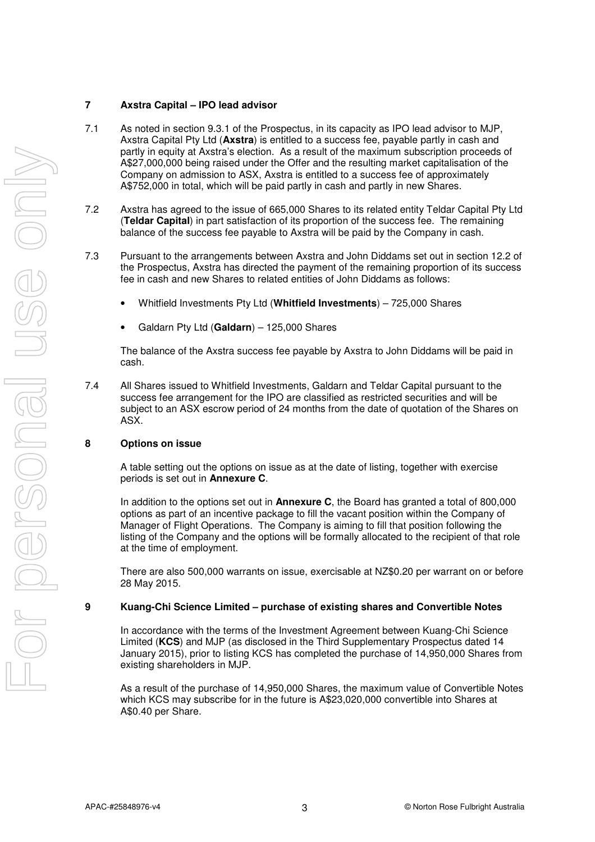#### **7 Axstra Capital – IPO lead advisor**

- 7.1 As noted in section 9.3.1 of the Prospectus, in its capacity as IPO lead advisor to MJP, Axstra Capital Pty Ltd (**Axstra**) is entitled to a success fee, payable partly in cash and partly in equity at Axstra's election. As a result of the maximum subscription proceeds of A\$27,000,000 being raised under the Offer and the resulting market capitalisation of the Company on admission to ASX, Axstra is entitled to a success fee of approximately A\$752,000 in total, which will be paid partly in cash and partly in new Shares.
- 7.2 Axstra has agreed to the issue of 665,000 Shares to its related entity Teldar Capital Pty Ltd (**Teldar Capital**) in part satisfaction of its proportion of the success fee. The remaining balance of the success fee payable to Axstra will be paid by the Company in cash.
- 7.3 Pursuant to the arrangements between Axstra and John Diddams set out in section 12.2 of the Prospectus, Axstra has directed the payment of the remaining proportion of its success fee in cash and new Shares to related entities of John Diddams as follows:
	- Whitfield Investments Pty Ltd (**Whitfield Investments**) 725,000 Shares
	- Galdarn Pty Ltd (**Galdarn**) 125,000 Shares

The balance of the Axstra success fee payable by Axstra to John Diddams will be paid in cash.

7.4 All Shares issued to Whitfield Investments, Galdarn and Teldar Capital pursuant to the success fee arrangement for the IPO are classified as restricted securities and will be subject to an ASX escrow period of 24 months from the date of quotation of the Shares on ASX.

#### **8 Options on issue**

A table setting out the options on issue as at the date of listing, together with exercise periods is set out in **Annexure C**.

In addition to the options set out in **Annexure C**, the Board has granted a total of 800,000 options as part of an incentive package to fill the vacant position within the Company of Manager of Flight Operations. The Company is aiming to fill that position following the listing of the Company and the options will be formally allocated to the recipient of that role at the time of employment.

There are also 500,000 warrants on issue, exercisable at NZ\$0.20 per warrant on or before 28 May 2015.

#### **9 Kuang-Chi Science Limited – purchase of existing shares and Convertible Notes**

In accordance with the terms of the Investment Agreement between Kuang-Chi Science Limited (**KCS**) and MJP (as disclosed in the Third Supplementary Prospectus dated 14 January 2015), prior to listing KCS has completed the purchase of 14,950,000 Shares from existing shareholders in MJP.

As a result of the purchase of 14,950,000 Shares, the maximum value of Convertible Notes which KCS may subscribe for in the future is A\$23,020,000 convertible into Shares at A\$0.40 per Share.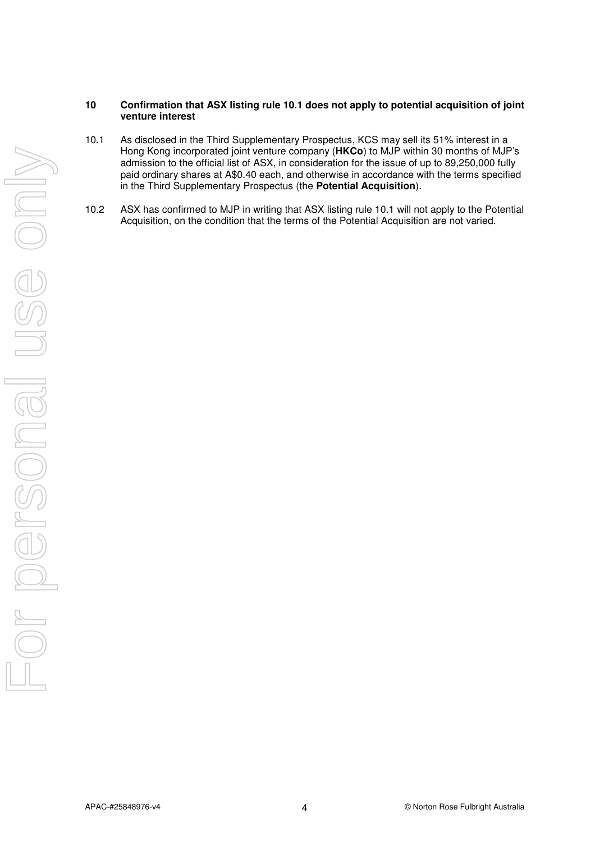#### **10 Confirmation that ASX listing rule 10.1 does not apply to potential acquisition of joint venture interest**

- 10.1 As disclosed in the Third Supplementary Prospectus, KCS may sell its 51% interest in a Hong Kong incorporated joint venture company (**HKCo**) to MJP within 30 months of MJP's admission to the official list of ASX, in consideration for the issue of up to 89,250,000 fully paid ordinary shares at A\$0.40 each, and otherwise in accordance with the terms specified in the Third Supplementary Prospectus (the **Potential Acquisition**).
- 10.2 ASX has confirmed to MJP in writing that ASX listing rule 10.1 will not apply to the Potential Acquisition, on the condition that the terms of the Potential Acquisition are not varied.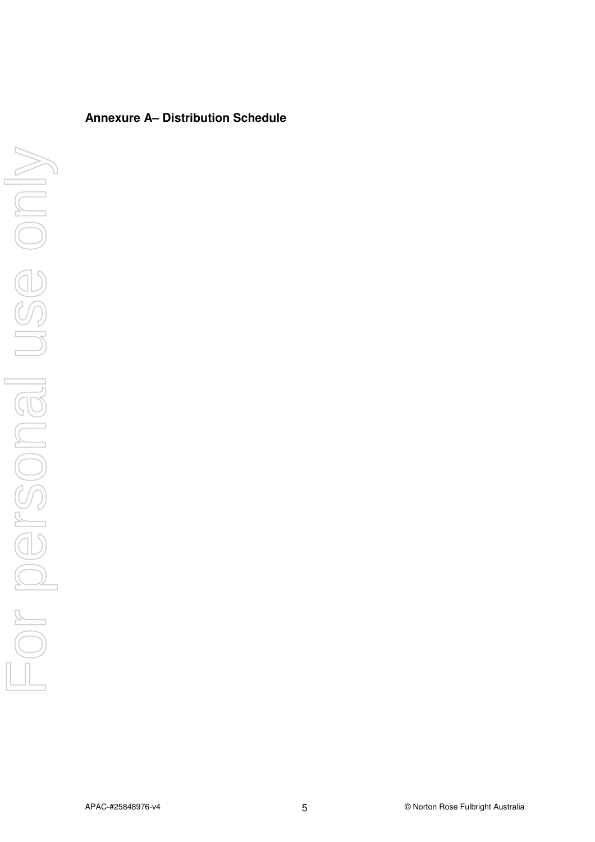## **Annexure A– Distribution Schedule**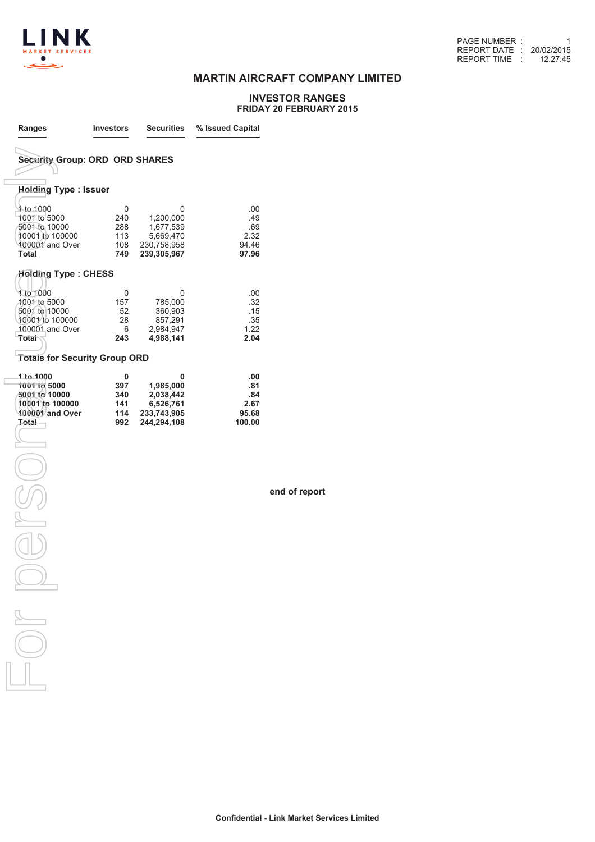

### **MARTIN AIRCRAFT COMPANY LIMITED**

#### **INVESTOR RANGES FRIDAY 20 FEBRUARY 2015**

| <b>Holding Type: Issuer</b> | <b>Security Group: ORD ORD SHARES</b> |                                                                                                                                      |
|-----------------------------|---------------------------------------|--------------------------------------------------------------------------------------------------------------------------------------|
|                             |                                       |                                                                                                                                      |
|                             |                                       |                                                                                                                                      |
|                             |                                       |                                                                                                                                      |
| 0                           | 0                                     | .00                                                                                                                                  |
| 240                         | 1,200,000                             | .49                                                                                                                                  |
| 288                         |                                       | .69                                                                                                                                  |
| 113                         | 5,669,470                             | 2.32                                                                                                                                 |
| 108<br>749                  | 239,305,967                           | 94.46<br>97.96                                                                                                                       |
| <b>Holding Type : CHESS</b> |                                       |                                                                                                                                      |
|                             |                                       | .00                                                                                                                                  |
|                             |                                       | .32                                                                                                                                  |
| 52                          | 360,903                               | .15                                                                                                                                  |
| 28                          | 857,291                               | .35                                                                                                                                  |
| 6                           | 2,984,947                             | 1.22                                                                                                                                 |
| 243                         |                                       | 2.04                                                                                                                                 |
|                             |                                       |                                                                                                                                      |
| 0                           | 0                                     | .00<br>.81                                                                                                                           |
|                             |                                       | .84                                                                                                                                  |
|                             |                                       | 2.67                                                                                                                                 |
| 114                         | 233,743,905                           | 95.68                                                                                                                                |
| 992                         | 244,294,108                           | 100.00                                                                                                                               |
|                             |                                       |                                                                                                                                      |
|                             |                                       |                                                                                                                                      |
|                             |                                       |                                                                                                                                      |
|                             |                                       |                                                                                                                                      |
|                             |                                       |                                                                                                                                      |
|                             |                                       |                                                                                                                                      |
|                             |                                       |                                                                                                                                      |
|                             |                                       |                                                                                                                                      |
|                             |                                       |                                                                                                                                      |
|                             |                                       |                                                                                                                                      |
|                             |                                       |                                                                                                                                      |
|                             |                                       |                                                                                                                                      |
|                             |                                       |                                                                                                                                      |
|                             |                                       |                                                                                                                                      |
|                             | 0<br>157<br>397<br>340<br>141         | 1,677,539<br>230,758,958<br>0<br>785,000<br>4,988,141<br><b>Totals for Security Group ORD</b><br>1,985,000<br>2,038,442<br>6,526,761 |

**end of report**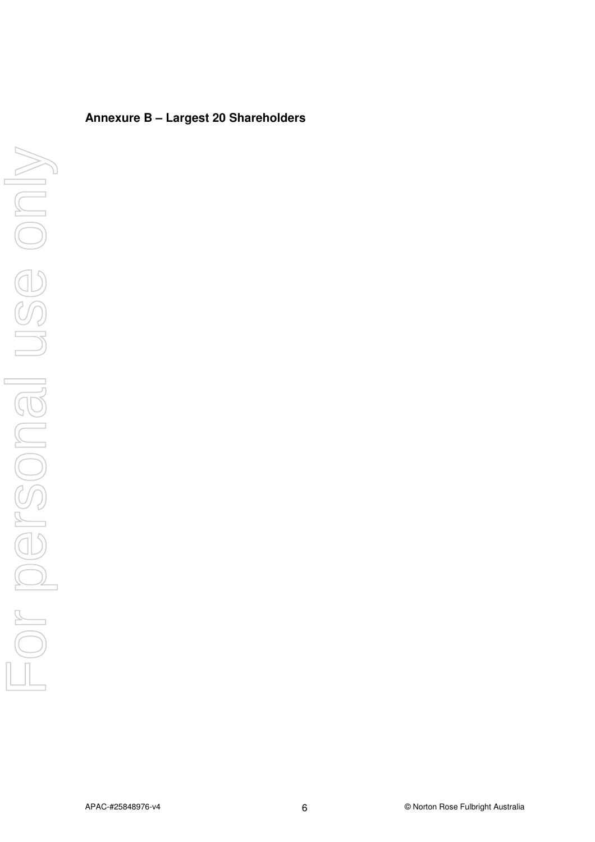## **Annexure B – Largest 20 Shareholders**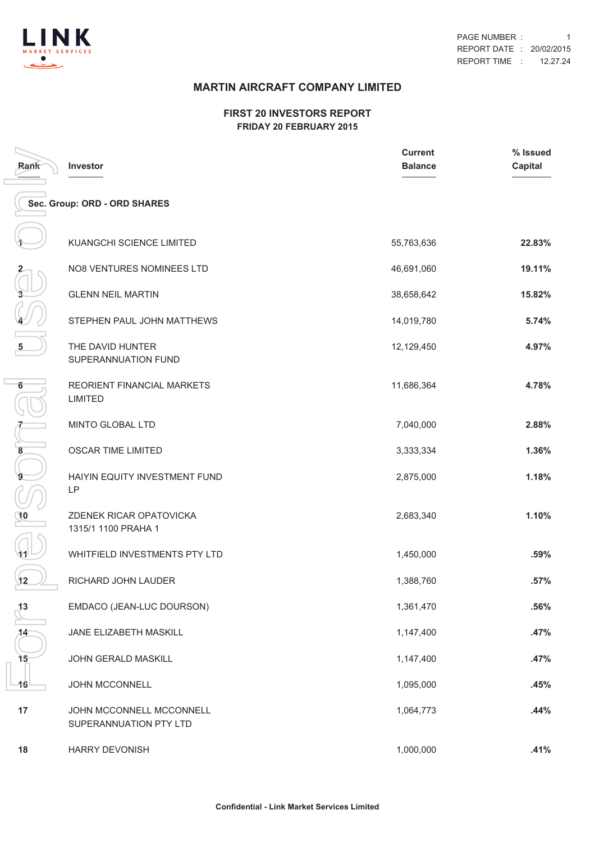

## **MARTIN AIRCRAFT COMPANY LIMITED**

#### **FIRST 20 INVESTORS REPORT FRIDAY 20 FEBRUARY 2015**

| Rank | Investor                                           | <b>Current</b><br><b>Balance</b> | % Issued<br><b>Capital</b> |
|------|----------------------------------------------------|----------------------------------|----------------------------|
|      | Sec. Group: ORD - ORD SHARES                       |                                  |                            |
|      | KUANGCHI SCIENCE LIMITED                           | 55,763,636                       | 22.83%                     |
|      | <b>NO8 VENTURES NOMINEES LTD</b>                   | 46,691,060                       | 19.11%                     |
|      | <b>GLENN NEIL MARTIN</b>                           | 38,658,642                       | 15.82%                     |
|      | STEPHEN PAUL JOHN MATTHEWS                         | 14,019,780                       | 5.74%                      |
| 5    | THE DAVID HUNTER<br>SUPERANNUATION FUND            | 12,129,450                       | 4.97%                      |
| 6    | REORIENT FINANCIAL MARKETS<br><b>LIMITED</b>       | 11,686,364                       | 4.78%                      |
|      | MINTO GLOBAL LTD                                   | 7,040,000                        | 2.88%                      |
| 8    | OSCAR TIME LIMITED                                 | 3,333,334                        | 1.36%                      |
| 9    | HAIYIN EQUITY INVESTMENT FUND<br>LP                | 2,875,000                        | 1.18%                      |
| 10   | ZDENEK RICAR OPATOVICKA<br>1315/1 1100 PRAHA 1     | 2,683,340                        | 1.10%                      |
| 41   | WHITFIELD INVESTMENTS PTY LTD                      | 1,450,000                        | .59%                       |
| 12   | RICHARD JOHN LAUDER                                | 1,388,760                        | .57%                       |
| 13   | EMDACO (JEAN-LUC DOURSON)                          | 1,361,470                        | .56%                       |
| 14   | JANE ELIZABETH MASKILL                             | 1,147,400                        | .47%                       |
| 15   | JOHN GERALD MASKILL                                | 1,147,400                        | .47%                       |
| 16   | JOHN MCCONNELL                                     | 1,095,000                        | .45%                       |
| 17   | JOHN MCCONNELL MCCONNELL<br>SUPERANNUATION PTY LTD | 1,064,773                        | .44%                       |
| 18   | <b>HARRY DEVONISH</b>                              | 1,000,000                        | .41%                       |